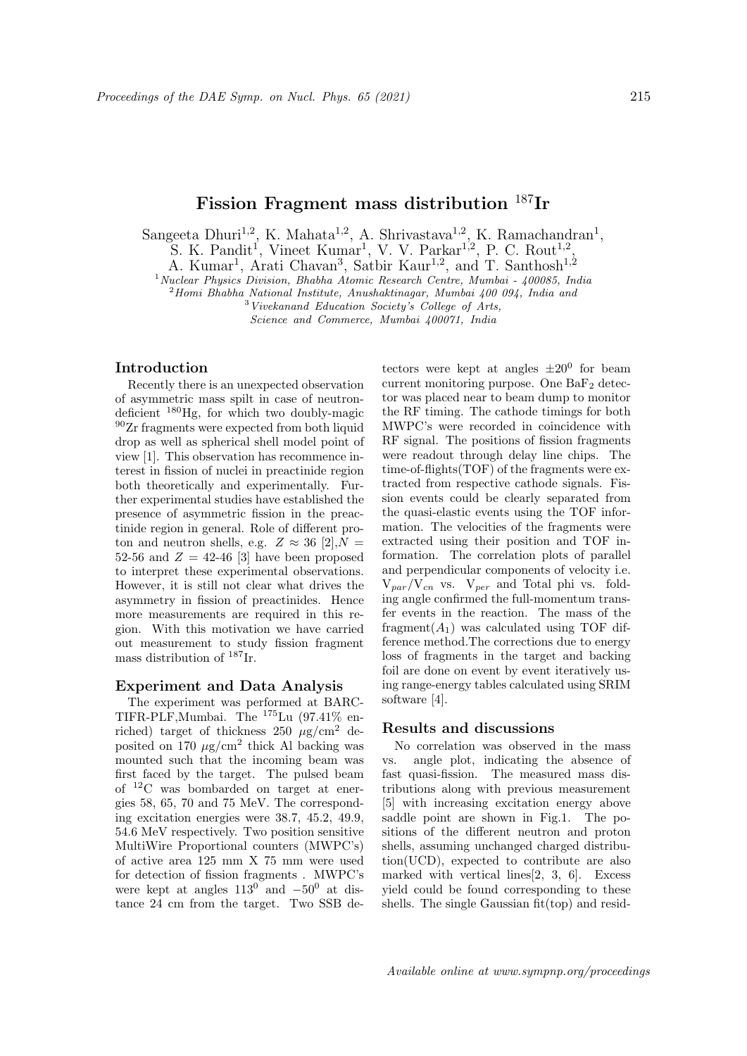# Fission Fragment mass distribution <sup>187</sup>Ir

Sangeeta Dhuri<sup>1,2</sup>, K. Mahata<sup>1,2</sup>, A. Shrivastava<sup>1,2</sup>, K. Ramachandran<sup>1</sup>,

S. K. Pandit<sup>1</sup>, Vineet Kumar<sup>1</sup>, V. V. Parkar<sup>1,2</sup>, P. C. Rout<sup>1,2</sup>,

A. Kumar<sup>1</sup>, Arati Chavan<sup>3</sup>, Satbir Kaur<sup>1,2</sup>, and T. Santhosh<sup>1,2</sup>

 $1$ Nuclear Physics Division, Bhabha Atomic Research Centre, Mumbai - 400085, India

 $2$ Homi Bhabha National Institute, Anushaktinagar, Mumbai 400 094, India and

<sup>3</sup>Vivekanand Education Society's College of Arts,

Science and Commerce, Mumbai 400071, India

#### Introduction

Recently there is an unexpected observation of asymmetric mass spilt in case of neutrondeficient <sup>180</sup>Hg, for which two doubly-magic <sup>90</sup>Zr fragments were expected from both liquid drop as well as spherical shell model point of view [1]. This observation has recommence interest in fission of nuclei in preactinide region both theoretically and experimentally. Further experimental studies have established the presence of asymmetric fission in the preactinide region in general. Role of different proton and neutron shells, e.g.  $Z \approx 36$  [2],  $N =$ 52-56 and  $Z = 42-46$  [3] have been proposed to interpret these experimental observations. However, it is still not clear what drives the asymmetry in fission of preactinides. Hence more measurements are required in this region. With this motivation we have carried out measurement to study fission fragment mass distribution of  $^{187}\mathrm{Ir}.$ 

## Experiment and Data Analysis

The experiment was performed at BARC-TIFR-PLF,Mumbai. The <sup>175</sup>Lu (97.41% enriched) target of thickness  $250 \mu g/cm^2$  deposited on 170  $\mu$ g/cm<sup>2</sup> thick Al backing was mounted such that the incoming beam was first faced by the target. The pulsed beam of <sup>12</sup>C was bombarded on target at energies 58, 65, 70 and 75 MeV. The corresponding excitation energies were 38.7, 45.2, 49.9, 54.6 MeV respectively. Two position sensitive MultiWire Proportional counters (MWPC's) of active area 125 mm X 75 mm were used for detection of fission fragments . MWPC's were kept at angles  $113^{0}$  and  $-50^{0}$  at distance 24 cm from the target. Two SSB de-

tectors were kept at angles  $\pm 20^0$  for beam current monitoring purpose. One  $BaF<sub>2</sub>$  detector was placed near to beam dump to monitor the RF timing. The cathode timings for both MWPC's were recorded in coincidence with RF signal. The positions of fission fragments were readout through delay line chips. The time-of-flights(TOF) of the fragments were extracted from respective cathode signals. Fission events could be clearly separated from the quasi-elastic events using the TOF information. The velocities of the fragments were extracted using their position and TOF information. The correlation plots of parallel and perpendicular components of velocity i.e.  $V_{par}/V_{cn}$  vs.  $V_{per}$  and Total phi vs. folding angle confirmed the full-momentum transfer events in the reaction. The mass of the fragment $(A_1)$  was calculated using TOF difference method.The corrections due to energy loss of fragments in the target and backing foil are done on event by event iteratively using range-energy tables calculated using SRIM software [4].

## Results and discussions

No correlation was observed in the mass vs. angle plot, indicating the absence of fast quasi-fission. The measured mass distributions along with previous measurement [5] with increasing excitation energy above saddle point are shown in Fig.1. The positions of the different neutron and proton shells, assuming unchanged charged distribution(UCD), expected to contribute are also marked with vertical lines[2, 3, 6]. Excess yield could be found corresponding to these shells. The single Gaussian fit(top) and resid-

Available online at www.sympnp.org/proceedings